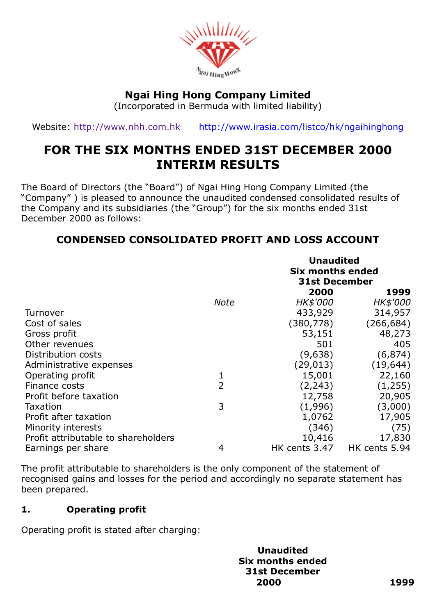

# Ngai Hing Hong Company Limited

(Incorporated in Bermuda with limited liability)

Website: [http://www.nhh.com.hk](http://www.nhh.com.hk/) <http://www.irasia.com/listco/hk/ngaihinghong>

# FOR THE SIX MONTHS ENDED 31ST DECEMBER 2000 INTERIM RESULTS

The Board of Directors (the "Board") of Ngai Hing Hong Company Limited (the "Company" ) is pleased to announce the unaudited condensed consolidated results of the Company and its subsidiaries (the "Group") for the six months ended 31st December 2000 as follows:

# CONDENSED CONSOLIDATED PROFIT AND LOSS ACCOUNT

|                                     |                | <b>Unaudited</b><br><b>Six months ended</b><br><b>31st December</b> |               |
|-------------------------------------|----------------|---------------------------------------------------------------------|---------------|
|                                     |                | 2000                                                                | 1999          |
|                                     | <b>Note</b>    | HK\$'000                                                            | HK\$'000      |
| Turnover                            |                | 433,929                                                             | 314,957       |
| Cost of sales                       |                | (380, 778)                                                          | (266, 684)    |
| Gross profit                        |                | 53,151                                                              | 48,273        |
| Other revenues                      |                | 501                                                                 | 405           |
| Distribution costs                  |                | (9,638)                                                             | (6, 874)      |
| Administrative expenses             |                | (29, 013)                                                           | (19, 644)     |
| Operating profit                    | 1              | 15,001                                                              | 22,160        |
| Finance costs                       | $\overline{2}$ | (2, 243)                                                            | (1,255)       |
| Profit before taxation              |                | 12,758                                                              | 20,905        |
| Taxation                            | 3              | (1,996)                                                             | (3,000)       |
| Profit after taxation               |                | 1,0762                                                              | 17,905        |
| Minority interests                  |                | (346)                                                               | (75)          |
| Profit attributable to shareholders |                | 10,416                                                              | 17,830        |
| Earnings per share                  | 4              | HK cents 3.47                                                       | HK cents 5.94 |

The profit attributable to shareholders is the only component of the statement of recognised gains and losses for the period and accordingly no separate statement has been prepared.

# 1. Operating profit

Operating profit is stated after charging:

Unaudited Six months ended 31st December 2000 1999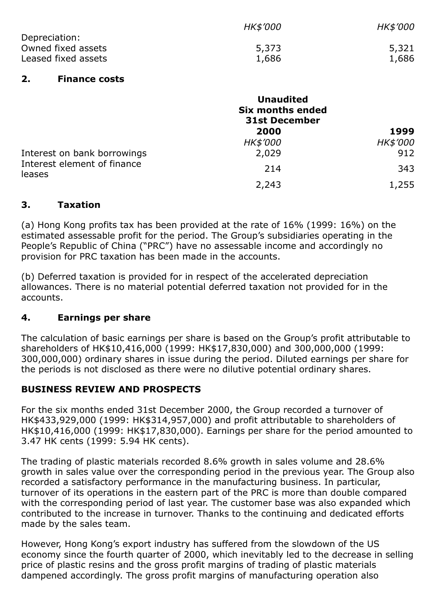|                     | <b>HK\$'000</b> | <i>HK\$'000</i> |
|---------------------|-----------------|-----------------|
| Depreciation:       |                 |                 |
| Owned fixed assets  | 5,373           | 5,321           |
| Leased fixed assets | 1,686           | 1,686           |

#### 2. Finance costs

|                                                                      | <b>Unaudited</b><br><b>Six months ended</b><br><b>31st December</b> |          |  |
|----------------------------------------------------------------------|---------------------------------------------------------------------|----------|--|
|                                                                      | 2000                                                                | 1999     |  |
|                                                                      | HK\$'000                                                            | HK\$'000 |  |
| Interest on bank borrowings<br>Interest element of finance<br>leases | 2,029                                                               | 912      |  |
|                                                                      | 214                                                                 | 343      |  |
|                                                                      | 2,243                                                               | 1,255    |  |

#### 3. Taxation

(a) Hong Kong profits tax has been provided at the rate of 16% (1999: 16%) on the estimated assessable profit for the period. The Group's subsidiaries operating in the People's Republic of China ("PRC") have no assessable income and accordingly no provision for PRC taxation has been made in the accounts.

(b) Deferred taxation is provided for in respect of the accelerated depreciation allowances. There is no material potential deferred taxation not provided for in the accounts.

# 4. Earnings per share

The calculation of basic earnings per share is based on the Group's profit attributable to shareholders of HK\$10,416,000 (1999: HK\$17,830,000) and 300,000,000 (1999: 300,000,000) ordinary shares in issue during the period. Diluted earnings per share for the periods is not disclosed as there were no dilutive potential ordinary shares.

# BUSINESS REVIEW AND PROSPECTS

For the six months ended 31st December 2000, the Group recorded a turnover of HK\$433,929,000 (1999: HK\$314,957,000) and profit attributable to shareholders of HK\$10,416,000 (1999: HK\$17,830,000). Earnings per share for the period amounted to 3.47 HK cents (1999: 5.94 HK cents).

The trading of plastic materials recorded 8.6% growth in sales volume and 28.6% growth in sales value over the corresponding period in the previous year. The Group also recorded a satisfactory performance in the manufacturing business. In particular, turnover of its operations in the eastern part of the PRC is more than double compared with the corresponding period of last year. The customer base was also expanded which contributed to the increase in turnover. Thanks to the continuing and dedicated efforts made by the sales team.

However, Hong Kong's export industry has suffered from the slowdown of the US economy since the fourth quarter of 2000, which inevitably led to the decrease in selling price of plastic resins and the gross profit margins of trading of plastic materials dampened accordingly. The gross profit margins of manufacturing operation also